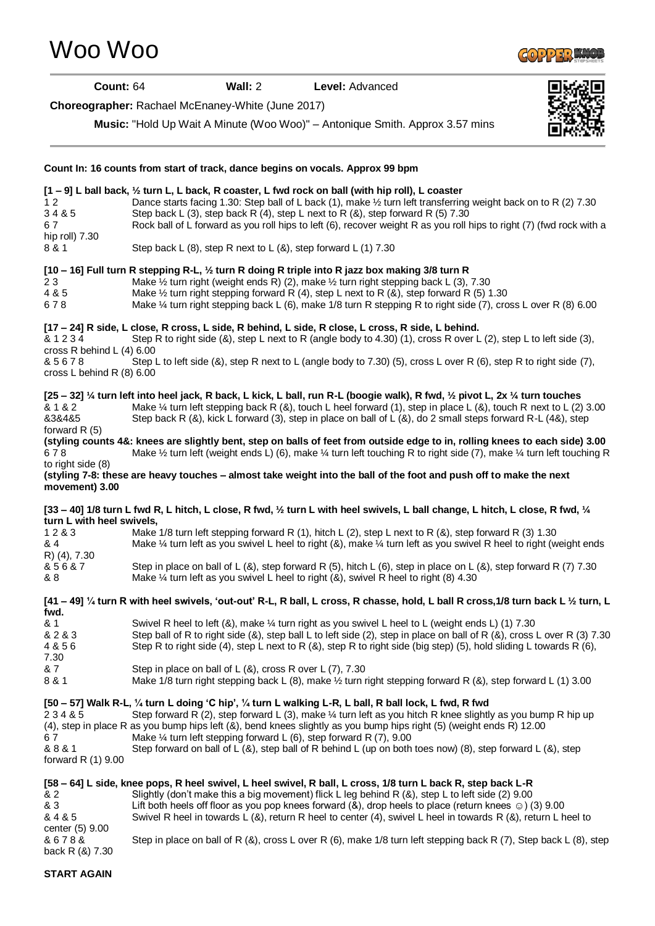**[1 – 9] L ball back, ½ turn L, L back, R coaster, L fwd rock on ball (with hip roll), L coaster** 1 2 Dance starts facing 1.30: Step ball of L back (1), make 1/2 turn left transferring weight back on to R (2) 7.30<br>3 4 & 5 Step back L (3), step back R (4), step L next to R (&), step forward R (5) 7.30 Step back L (3), step back R (4), step L next to R (8), step forward R (5)  $7.30$ 6 7 Rock ball of L forward as you roll hips to left (6), recover weight R as you roll hips to right (7) (fwd rock with a hip roll) 7.30 8 & 1 Step back L (8), step R next to L (8), step forward L (1) 7.30 **[10 – 16] Full turn R stepping R-L, ½ turn R doing R triple into R jazz box making 3/8 turn R** 2 3 Make ½ turn right (weight ends R) (2), make ½ turn right stepping back L (3), 7.30 4 & 5 Make ½ turn right stepping forward R (4), step L next to R (&), step forward R (5) 1.30 6 7 8 Make ¼ turn right stepping back L (6), make 1/8 turn R stepping R to right side (7), cross L over R (8) 6.00 **[17 – 24] R side, L close, R cross, L side, R behind, L side, R close, L cross, R side, L behind.** & 1 2 3 4 Step R to right side (&), step L next to R (angle body to 4.30) (1), cross R over L (2), step L to left side (3), cross R behind L (4) 6.00 & 5 6 7 8 Step L to left side (&), step R next to L (angle body to 7.30) (5), cross L over R (6), step R to right side (7), cross L behind R (8) 6.00 **[25 – 32] ¼ turn left into heel jack, R back, L kick, L ball, run R-L (boogie walk), R fwd, ½ pivot L, 2x ¼ turn touches** & 1 & 2 Make ¼ turn left stepping back R (&), touch L heel forward (1), step in place L (&), touch R next to L (2) 3.00 &3&4&5 Step back R (&), kick L forward (3), step in place on ball of L (&), do 2 small steps forward R-L (4&), step forward R (5) **(styling counts 4&: knees are slightly bent, step on balls of feet from outside edge to in, rolling knees to each side) 3.00** 6 7 8 Make ½ turn left (weight ends L) (6), make ¼ turn left touching R to right side (7), make ¼ turn left touching R to right side (8) **(styling 7-8: these are heavy touches – almost take weight into the ball of the foot and push off to make the next movement) 3.00 [33 – 40] 1/8 turn L fwd R, L hitch, L close, R fwd, ½ turn L with heel swivels, L ball change, L hitch, L close, R fwd, ¼ turn L with heel swivels,** 1 2 & 3 Make 1/8 turn left stepping forward R (1), hitch L (2), step L next to R (&), step forward R (3) 1.30 & 4 Make ¼ turn left as you swivel L heel to right (&), make ¼ turn left as you swivel R heel to right (weight ends R) (4), 7.30 & 5 6 & 7 Step in place on ball of L (&), step forward R (5), hitch L (6), step in place on L (&), step forward R (7) 7.30 & 8 Make ¼ turn left as you swivel L heel to right (&), swivel R heel to right (8) 4.30 **[41 – 49] ¼ turn R with heel swivels, 'out-out' R-L, R ball, L cross, R chasse, hold, L ball R cross,1/8 turn back L ½ turn, L fwd.** & 1 Swivel R heel to left (&), make ¼ turn right as you swivel L heel to L (weight ends L) (1) 7.30 & 2 & 3 Step ball of R to right side (&), step ball L to left side (2), step in place on ball of R (&), cross L over R (3) 7.30 4 & 5 6 Step R to right side (4), step L next to R (&), step R to right side (big step) (5), hold sliding L towards R (6), 7.30 & 7 Step in place on ball of L (&), cross R over L (7), 7.30 8 & 1 Make 1/8 turn right stepping back L (8), make  $\frac{1}{2}$  turn right stepping forward R (&), step forward L (1) 3.00 **[50 – 57] Walk R-L, ¼ turn L doing 'C hip', ¼ turn L walking L-R, L ball, R ball lock, L fwd, R fwd** 2 3 4 & 5 Step forward R (2), step forward L (3), make ¼ turn left as you hitch R knee slightly as you bump R hip up (4), step in place R as you bump hips left (&), bend knees slightly as you bump hips right (5) (weight ends R) 12.00 6 7 Make ¼ turn left stepping forward L (6), step forward R (7), 9.00 & 8 & 1 Step forward on ball of L (&), step ball of R behind L (up on both toes now) (8), step forward L (&), step forward R (1) 9.00 **[58 – 64] L side, knee pops, R heel swivel, L heel swivel, R ball, L cross, 1/8 turn L back R, step back L-R** & 2 Slightly (don't make this a big movement) flick L leg behind R (&), step L to left side (2) 9.00 & 3 Lift both heels off floor as you pop knees forward (&), drop heels to place (return knees ☺) (3) 9.00 & 4 & 5 Swivel R heel in towards L (&), return R heel to center (4), swivel L heel in towards R (&), return L heel to center (5) 9.00 & 6 7 8 & Step in place on ball of R (&), cross L over R (6), make 1/8 turn left stepping back R (7), Step back L (8), step

## **Choreographer:** Rachael McEnaney-White (June 2017)

**Count In: 16 counts from start of track, dance begins on vocals. Approx 99 bpm**

**Music:** "Hold Up Wait A Minute (Woo Woo)" – Antonique Smith. Approx 3.57 mins

[Woo Woo](http://www.copperknob.co.uk/stepsheets/woo-woo-ID119406.aspx)

**START AGAIN**

back R (&) 7.30





**Count:** 64 **Wall:** 2 **Level:** Advanced